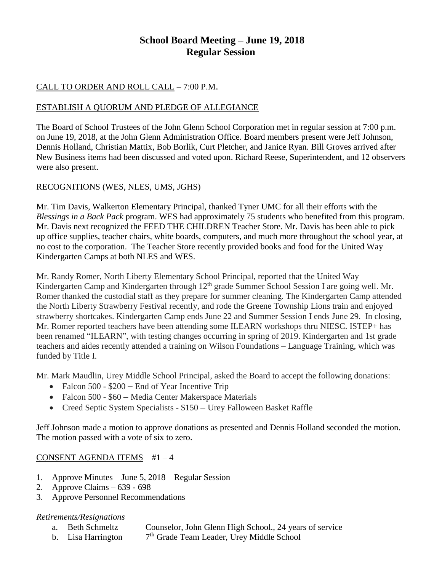# **School Board Meeting – June 19, 2018 Regular Session**

# CALL TO ORDER AND ROLL CALL – 7:00 P.M.

## ESTABLISH A QUORUM AND PLEDGE OF ALLEGIANCE

The Board of School Trustees of the John Glenn School Corporation met in regular session at 7:00 p.m. on June 19, 2018, at the John Glenn Administration Office. Board members present were Jeff Johnson, Dennis Holland, Christian Mattix, Bob Borlik, Curt Pletcher, and Janice Ryan. Bill Groves arrived after New Business items had been discussed and voted upon. Richard Reese, Superintendent, and 12 observers were also present.

## RECOGNITIONS (WES, NLES, UMS, JGHS)

Mr. Tim Davis, Walkerton Elementary Principal, thanked Tyner UMC for all their efforts with the *Blessings in a Back Pack* program. WES had approximately 75 students who benefited from this program. Mr. Davis next recognized the FEED THE CHILDREN Teacher Store. Mr. Davis has been able to pick up office supplies, teacher chairs, white boards, computers, and much more throughout the school year, at no cost to the corporation. The Teacher Store recently provided books and food for the United Way Kindergarten Camps at both NLES and WES.

Mr. Randy Romer, North Liberty Elementary School Principal, reported that the United Way Kindergarten Camp and Kindergarten through 12<sup>th</sup> grade Summer School Session I are going well. Mr. Romer thanked the custodial staff as they prepare for summer cleaning. The Kindergarten Camp attended the North Liberty Strawberry Festival recently, and rode the Greene Township Lions train and enjoyed strawberry shortcakes. Kindergarten Camp ends June 22 and Summer Session I ends June 29. In closing, Mr. Romer reported teachers have been attending some ILEARN workshops thru NIESC. ISTEP+ has been renamed "ILEARN", with testing changes occurring in spring of 2019. Kindergarten and 1st grade teachers and aides recently attended a training on Wilson Foundations – Language Training, which was funded by Title I.

Mr. Mark Maudlin, Urey Middle School Principal, asked the Board to accept the following donations:

- Falcon 500 \$200 End of Year Incentive Trip
- Falcon 500 \$60 Media Center Makerspace Materials
- Creed Septic System Specialists \$150 Urey Falloween Basket Raffle

Jeff Johnson made a motion to approve donations as presented and Dennis Holland seconded the motion. The motion passed with a vote of six to zero.

## CONSENT AGENDA ITEMS #1 – 4

- 1. Approve Minutes June 5, 2018 Regular Session
- 2. Approve Claims 639 698
- 3. Approve Personnel Recommendations

#### *Retirements/Resignations*

- a. Beth Schmeltz Counselor, John Glenn High School., 24 years of service
- b. Lisa Harrington 7 7<sup>th</sup> Grade Team Leader, Urey Middle School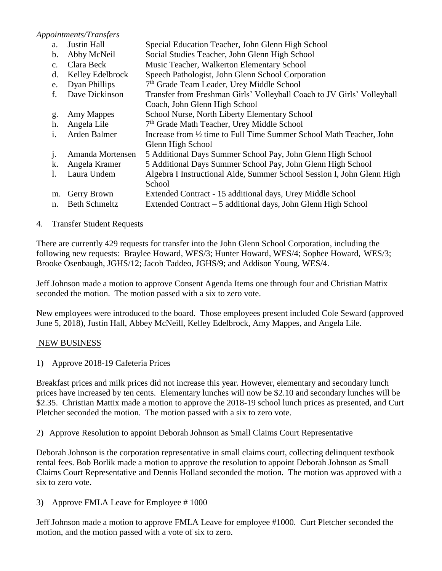## *Appointments/Transfers*

a. Justin Hall Special Education Teacher, John Glenn High School b. Abby McNeil Social Studies Teacher, John Glenn High School c. Clara Beck Music Teacher, Walkerton Elementary School d. Kelley Edelbrock Speech Pathologist, John Glenn School Corporation e. Dyan Phillips 7<sup>th</sup> Grade Team Leader, Urey Middle School f. Dave Dickinson Transfer from Freshman Girls' Volleyball Coach to JV Girls' Volleyball Coach, John Glenn High School g. Amy Mappes School Nurse, North Liberty Elementary School h. Angela Lile 7<sup>th</sup> Grade Math Teacher, Urey Middle School i. Arden Balmer Increase from ½ time to Full Time Summer School Math Teacher, John Glenn High School j. Amanda Mortensen 5 Additional Days Summer School Pay, John Glenn High School k. Angela Kramer 5 Additional Days Summer School Pay, John Glenn High School l. Laura Undem Algebra I Instructional Aide, Summer School Session I, John Glenn High **School** m. Gerry Brown Extended Contract - 15 additional days, Urey Middle School n. Beth Schmeltz Extended Contract – 5 additional days, John Glenn High School

## 4. Transfer Student Requests

There are currently 429 requests for transfer into the John Glenn School Corporation, including the following new requests: Braylee Howard, WES/3; Hunter Howard, WES/4; Sophee Howard, WES/3; Brooke Osenbaugh, JGHS/12; Jacob Taddeo, JGHS/9; and Addison Young, WES/4.

Jeff Johnson made a motion to approve Consent Agenda Items one through four and Christian Mattix seconded the motion. The motion passed with a six to zero vote.

New employees were introduced to the board. Those employees present included Cole Seward (approved June 5, 2018), Justin Hall, Abbey McNeill, Kelley Edelbrock, Amy Mappes, and Angela Lile.

#### NEW BUSINESS

1) Approve 2018-19 Cafeteria Prices

Breakfast prices and milk prices did not increase this year. However, elementary and secondary lunch prices have increased by ten cents. Elementary lunches will now be \$2.10 and secondary lunches will be \$2.35. Christian Mattix made a motion to approve the 2018-19 school lunch prices as presented, and Curt Pletcher seconded the motion. The motion passed with a six to zero vote.

2) Approve Resolution to appoint Deborah Johnson as Small Claims Court Representative

Deborah Johnson is the corporation representative in small claims court, collecting delinquent textbook rental fees. Bob Borlik made a motion to approve the resolution to appoint Deborah Johnson as Small Claims Court Representative and Dennis Holland seconded the motion. The motion was approved with a six to zero vote.

3) Approve FMLA Leave for Employee # 1000

Jeff Johnson made a motion to approve FMLA Leave for employee #1000. Curt Pletcher seconded the motion, and the motion passed with a vote of six to zero.